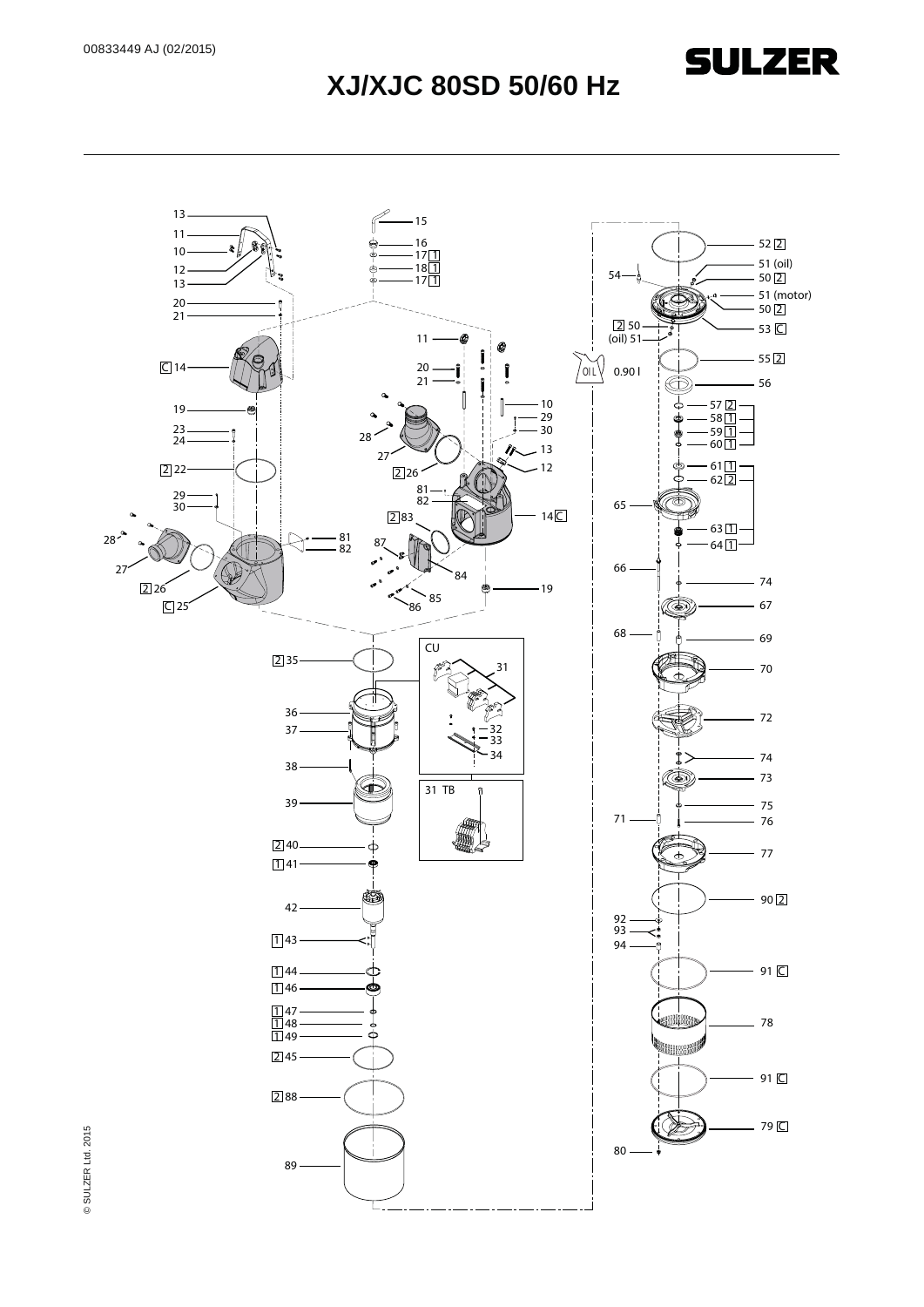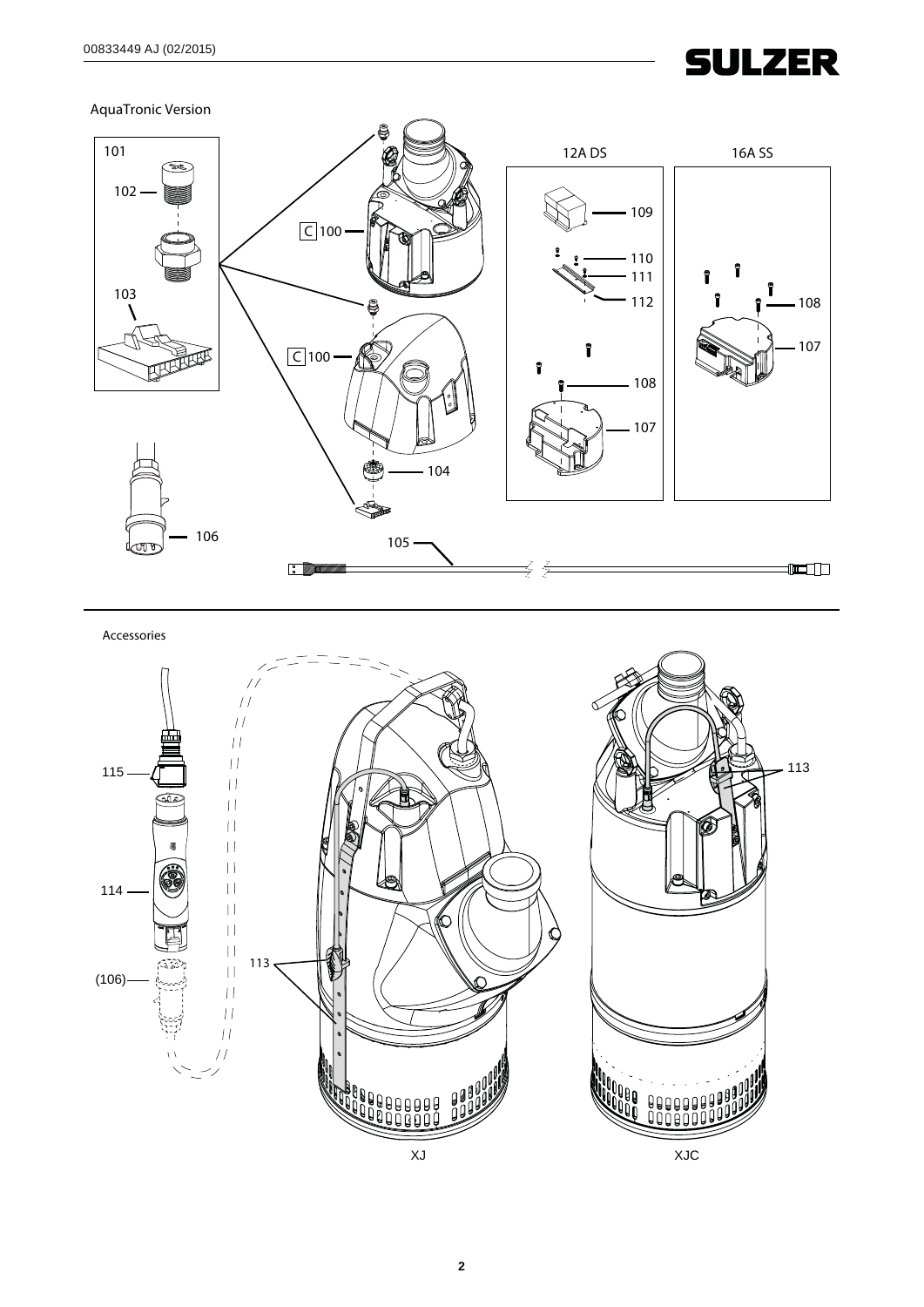AquaTronic Version



Accessories

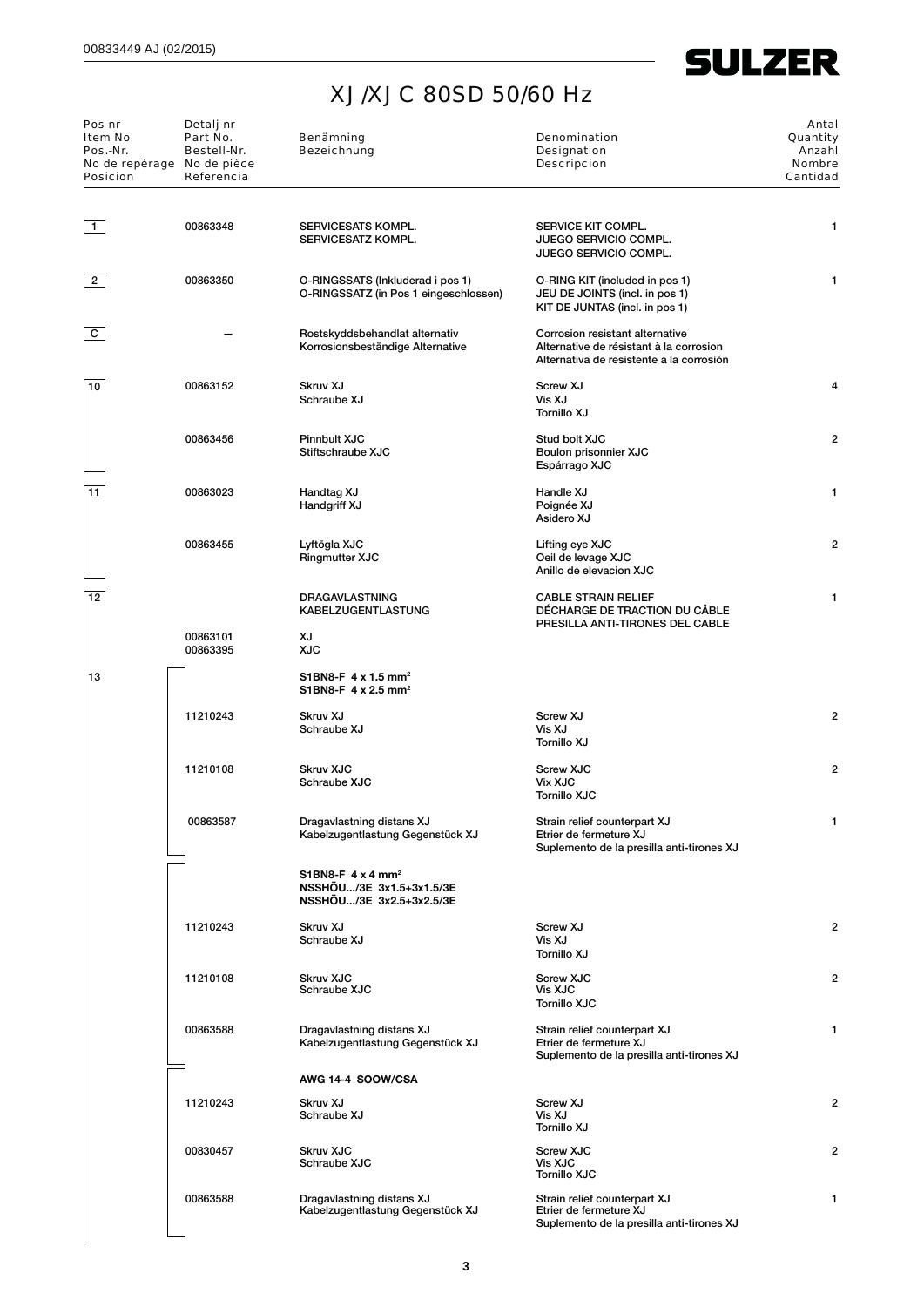| Pos nr<br><b>Item No</b><br>Pos.-Nr.<br><b>Posicion</b> | Detalj nr<br>Part No.<br>Bestell-Nr.<br>No de repérage No de pièce<br>Referencia | Benämning<br><b>Bezeichnung</b>                                                              | <b>Denomination</b><br>Designation<br><b>Descripcion</b>                                                               | Antal<br>Quantity<br>Anzahl<br><b>Nombre</b><br>Cantidad |
|---------------------------------------------------------|----------------------------------------------------------------------------------|----------------------------------------------------------------------------------------------|------------------------------------------------------------------------------------------------------------------------|----------------------------------------------------------|
| $\overline{1}$                                          | 00863348                                                                         | <b>SERVICESATS KOMPL.</b><br>SERVICESATZ KOMPL.                                              | SERVICE KIT COMPL.<br><b>JUEGO SERVICIO COMPL.</b><br>JUEGO SERVICIO COMPL.                                            | 1                                                        |
| $2^{\circ}$                                             | 00863350                                                                         | O-RINGSSATS (Inkluderad i pos 1)<br>O-RINGSSATZ (in Pos 1 eingeschlossen)                    | O-RING KIT (included in pos 1)<br>JEU DE JOINTS (incl. in pos 1)<br>KIT DE JUNTAS (incl. in pos 1)                     | 1                                                        |
| $\mathbf{C}$                                            |                                                                                  | Rostskyddsbehandlat alternativ<br>Korrosionsbeständige Alternative                           | Corrosion resistant alternative<br>Alternative de résistant à la corrosion<br>Alternativa de resistente a la corrosión |                                                          |
| 10                                                      | 00863152                                                                         | Skruv XJ<br>Schraube XJ                                                                      | Screw XJ<br>Vis XJ<br>Tornillo XJ                                                                                      | 4                                                        |
|                                                         | 00863456                                                                         | <b>Pinnbult XJC</b><br>Stiftschraube XJC                                                     | Stud bolt XJC<br>Boulon prisonnier XJC<br>Espárrago XJC                                                                | $\overline{2}$                                           |
| 11                                                      | 00863023                                                                         | Handtag XJ<br>Handgriff XJ                                                                   | Handle XJ<br>Poignée XJ<br>Asidero XJ                                                                                  | 1                                                        |
|                                                         | 00863455                                                                         | Lyftögla XJC<br>Ringmutter XJC                                                               | Lifting eye XJC<br>Oeil de levage XJC<br>Anillo de elevacion XJC                                                       | $\overline{2}$                                           |
| $\overline{12}$                                         |                                                                                  | DRAGAVLASTNING<br>KABELZUGENTLASTUNG                                                         | <b>CABLE STRAIN RELIEF</b><br>DÉCHARGE DE TRACTION DU CÂBLE<br>PRESILLA ANTI-TIRONES DEL CABLE                         | 1                                                        |
|                                                         | 00863101<br>00863395                                                             | XJ<br><b>XJC</b>                                                                             |                                                                                                                        |                                                          |
| 13                                                      |                                                                                  | S1BN8-F $4 \times 1.5$ mm <sup>2</sup><br>S1BN8-F 4 x 2.5 mm <sup>2</sup>                    |                                                                                                                        |                                                          |
|                                                         | 11210243                                                                         | Skruv XJ<br>Schraube XJ                                                                      | Screw XJ<br>Vis XJ<br>Tornillo XJ                                                                                      | $\overline{2}$                                           |
|                                                         | 11210108                                                                         | <b>Skruv XJC</b><br>Schraube XJC                                                             | <b>Screw XJC</b><br><b>Vix XJC</b><br><b>Tornillo XJC</b>                                                              | $\overline{2}$                                           |
|                                                         | 00863587                                                                         | Dragavlastning distans XJ<br>Kabelzugentlastung Gegenstück XJ                                | Strain relief counterpart XJ<br>Etrier de fermeture XJ<br>Suplemento de la presilla anti-tirones XJ                    |                                                          |
|                                                         |                                                                                  | S1BN8-F $4 \times 4$ mm <sup>2</sup><br>NSSHOU/3E 3x1.5+3x1.5/3E<br>NSSHOU/3E 3x2.5+3x2.5/3E |                                                                                                                        |                                                          |
|                                                         | 11210243                                                                         | Skruv XJ<br>Schraube XJ                                                                      | Screw XJ<br>Vis XJ<br>Tornillo XJ                                                                                      | $\overline{2}$                                           |
|                                                         | 11210108                                                                         | <b>Skruv XJC</b><br>Schraube XJC                                                             | <b>Screw XJC</b><br>Vis XJC<br><b>Tornillo XJC</b>                                                                     | $\overline{2}$                                           |
|                                                         | 00863588                                                                         | Dragavlastning distans XJ<br>Kabelzugentlastung Gegenstück XJ                                | Strain relief counterpart XJ<br>Etrier de fermeture XJ<br>Suplemento de la presilla anti-tirones XJ                    | 1                                                        |
|                                                         |                                                                                  | AWG 14-4 SOOW/CSA                                                                            |                                                                                                                        |                                                          |
|                                                         | 11210243                                                                         | Skruv XJ<br>Schraube XJ                                                                      | Screw XJ<br>Vis XJ<br>Tornillo XJ                                                                                      | $\overline{2}$                                           |
|                                                         | 00830457                                                                         | <b>Skruv XJC</b><br>Schraube XJC                                                             | <b>Screw XJC</b><br>Vis XJC<br><b>Tornillo XJC</b>                                                                     | $\overline{2}$                                           |
|                                                         | 00863588                                                                         | Dragavlastning distans XJ<br>Kabelzugentlastung Gegenstück XJ                                | Strain relief counterpart XJ<br>Etrier de fermeture XJ<br>Suplemento de la presilla anti-tirones XJ                    | 1                                                        |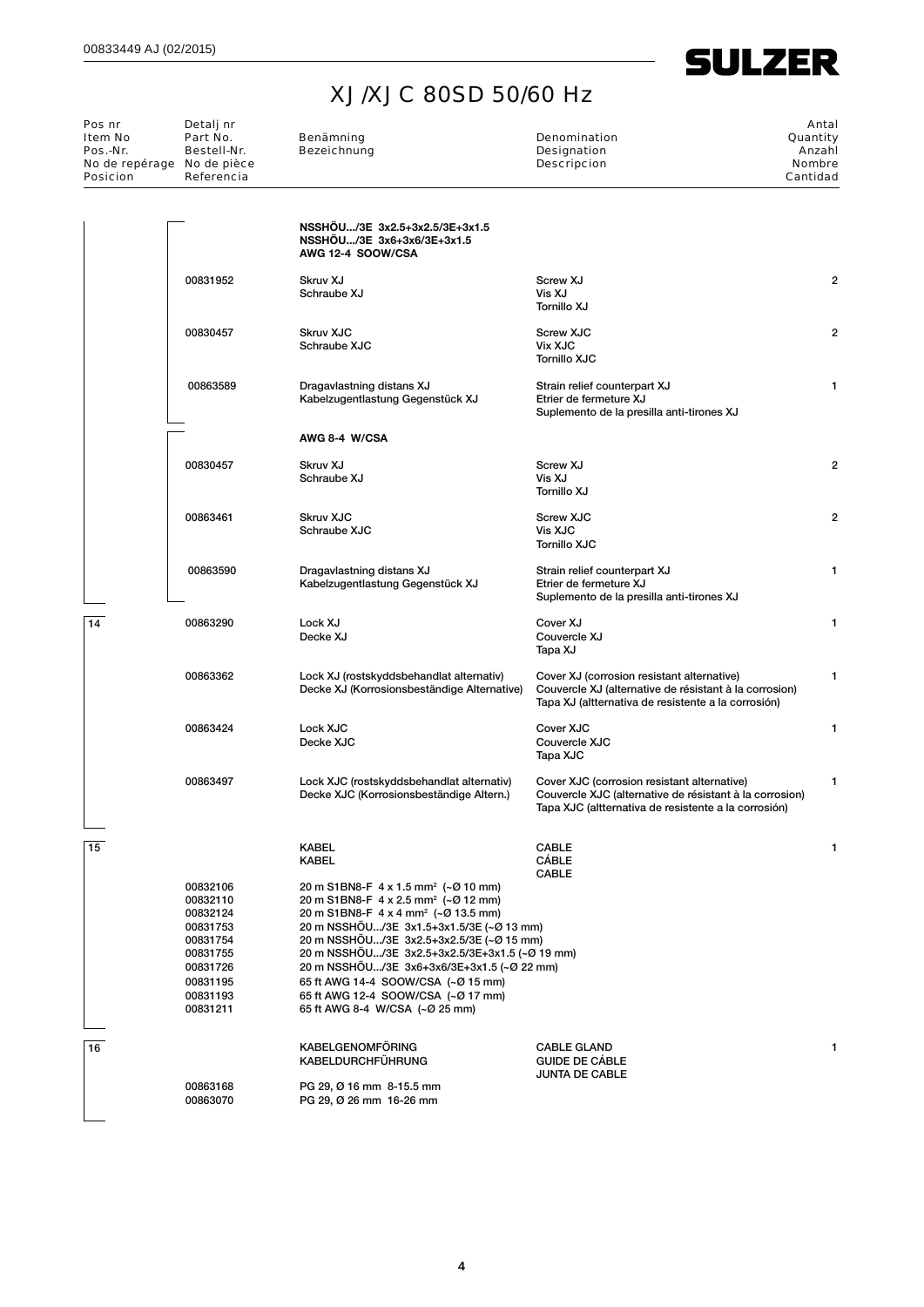

| Pos nr<br>Item No<br>Pos.-Nr.<br>No de repérage No de pièce<br><b>Posicion</b> | Detalj nr<br>Part No.<br>Bestell-Nr.<br>Referencia                                                                   | Benämning<br><b>Bezeichnung</b>                                                                                                                                                                                                                                                                                                                                                                                                                             | Denomination<br><b>Designation</b><br><b>Descripcion</b>                                                                                                       | Antal<br>Quantity<br>Anzahl<br><b>Nombre</b><br>Cantidad |
|--------------------------------------------------------------------------------|----------------------------------------------------------------------------------------------------------------------|-------------------------------------------------------------------------------------------------------------------------------------------------------------------------------------------------------------------------------------------------------------------------------------------------------------------------------------------------------------------------------------------------------------------------------------------------------------|----------------------------------------------------------------------------------------------------------------------------------------------------------------|----------------------------------------------------------|
|                                                                                |                                                                                                                      | NSSHOU/3E 3x2.5+3x2.5/3E+3x1.5<br>NSSHOU/3E 3x6+3x6/3E+3x1.5<br>AWG 12-4 SOOW/CSA                                                                                                                                                                                                                                                                                                                                                                           |                                                                                                                                                                |                                                          |
|                                                                                | 00831952                                                                                                             | Skruv XJ<br>Schraube XJ                                                                                                                                                                                                                                                                                                                                                                                                                                     | Screw XJ<br>Vis XJ<br><b>Tornillo XJ</b>                                                                                                                       | $\overline{2}$                                           |
|                                                                                | 00830457                                                                                                             | <b>Skruv XJC</b><br>Schraube XJC                                                                                                                                                                                                                                                                                                                                                                                                                            | <b>Screw XJC</b><br><b>Vix XJC</b><br><b>Tornillo XJC</b>                                                                                                      | $\overline{2}$                                           |
|                                                                                | 00863589                                                                                                             | Dragavlastning distans XJ<br>Kabelzugentlastung Gegenstück XJ                                                                                                                                                                                                                                                                                                                                                                                               | Strain relief counterpart XJ<br>Etrier de fermeture XJ<br>Suplemento de la presilla anti-tirones XJ                                                            | 1                                                        |
|                                                                                |                                                                                                                      | AWG 8-4 W/CSA                                                                                                                                                                                                                                                                                                                                                                                                                                               |                                                                                                                                                                |                                                          |
|                                                                                | 00830457                                                                                                             | Skruv XJ<br>Schraube XJ                                                                                                                                                                                                                                                                                                                                                                                                                                     | Screw XJ<br>Vis XJ<br>Tornillo XJ                                                                                                                              | $\overline{2}$                                           |
|                                                                                | 00863461                                                                                                             | <b>Skruv XJC</b><br>Schraube XJC                                                                                                                                                                                                                                                                                                                                                                                                                            | <b>Screw XJC</b><br>Vis XJC<br><b>Tornillo XJC</b>                                                                                                             | $\overline{a}$                                           |
|                                                                                | 00863590                                                                                                             | Dragavlastning distans XJ<br>Kabelzugentlastung Gegenstück XJ                                                                                                                                                                                                                                                                                                                                                                                               | Strain relief counterpart XJ<br>Etrier de fermeture XJ<br>Suplemento de la presilla anti-tirones XJ                                                            | 1                                                        |
| 14                                                                             | 00863290                                                                                                             | Lock XJ<br>Decke XJ                                                                                                                                                                                                                                                                                                                                                                                                                                         | Cover XJ<br>Couvercle XJ<br>Tapa XJ                                                                                                                            | 1                                                        |
|                                                                                | 00863362                                                                                                             | Lock XJ (rostskyddsbehandlat alternativ)<br>Decke XJ (Korrosionsbeständige Alternative)                                                                                                                                                                                                                                                                                                                                                                     | Cover XJ (corrosion resistant alternative)<br>Couvercle XJ (alternative de résistant à la corrosion)<br>Tapa XJ (altternativa de resistente a la corrosión)    | 1                                                        |
|                                                                                | 00863424                                                                                                             | Lock XJC<br>Decke XJC                                                                                                                                                                                                                                                                                                                                                                                                                                       | Cover XJC<br>Couvercle XJC<br>Tapa XJC                                                                                                                         | 1                                                        |
|                                                                                | 00863497                                                                                                             | Lock XJC (rostskyddsbehandlat alternativ)<br>Decke XJC (Korrosionsbeständige Altern.)                                                                                                                                                                                                                                                                                                                                                                       | Cover XJC (corrosion resistant alternative)<br>Couvercle XJC (alternative de résistant à la corrosion)<br>Tapa XJC (altternativa de resistente a la corrosión) | 1                                                        |
| 15                                                                             |                                                                                                                      | <b>KABEL</b><br><b>KABEL</b>                                                                                                                                                                                                                                                                                                                                                                                                                                | <b>CABLE</b><br>CÁBLE<br>CABLE                                                                                                                                 |                                                          |
|                                                                                | 00832106<br>00832110<br>00832124<br>00831753<br>00831754<br>00831755<br>00831726<br>00831195<br>00831193<br>00831211 | 20 m S1BN8-F 4 x 1.5 mm <sup>2</sup> (~Ø 10 mm)<br>20 m S1BN8-F 4 x 2.5 mm <sup>2</sup> (~Ø 12 mm)<br>20 m S1BN8-F 4 x 4 mm <sup>2</sup> (~Ø 13.5 mm)<br>20 m NSSHOU/3E 3x1.5+3x1.5/3E (~Ø 13 mm)<br>20 m NSSHÖU/3E 3x2.5+3x2.5/3E (~Ø 15 mm)<br>20 m NSSHOU/3E 3x2.5+3x2.5/3E+3x1.5 (~Ø 19 mm)<br>20 m NSSHÖU/3E 3x6+3x6/3E+3x1.5 (~Ø 22 mm)<br>65 ft AWG 14-4 SOOW/CSA (~Ø 15 mm)<br>65 ft AWG 12-4 SOOW/CSA (~Ø 17 mm)<br>65 ft AWG 8-4 W/CSA (~Ø 25 mm) |                                                                                                                                                                |                                                          |
| 16                                                                             | 00863168                                                                                                             | <b>KABELGENOMFÖRING</b><br><b>KABELDURCHFÜHRUNG</b><br>PG 29, Ø 16 mm 8-15.5 mm                                                                                                                                                                                                                                                                                                                                                                             | <b>CABLE GLAND</b><br><b>GUIDE DE CÁBLE</b><br><b>JUNTA DE CABLE</b>                                                                                           |                                                          |
|                                                                                | 00863070                                                                                                             | PG 29, Ø 26 mm 16-26 mm                                                                                                                                                                                                                                                                                                                                                                                                                                     |                                                                                                                                                                |                                                          |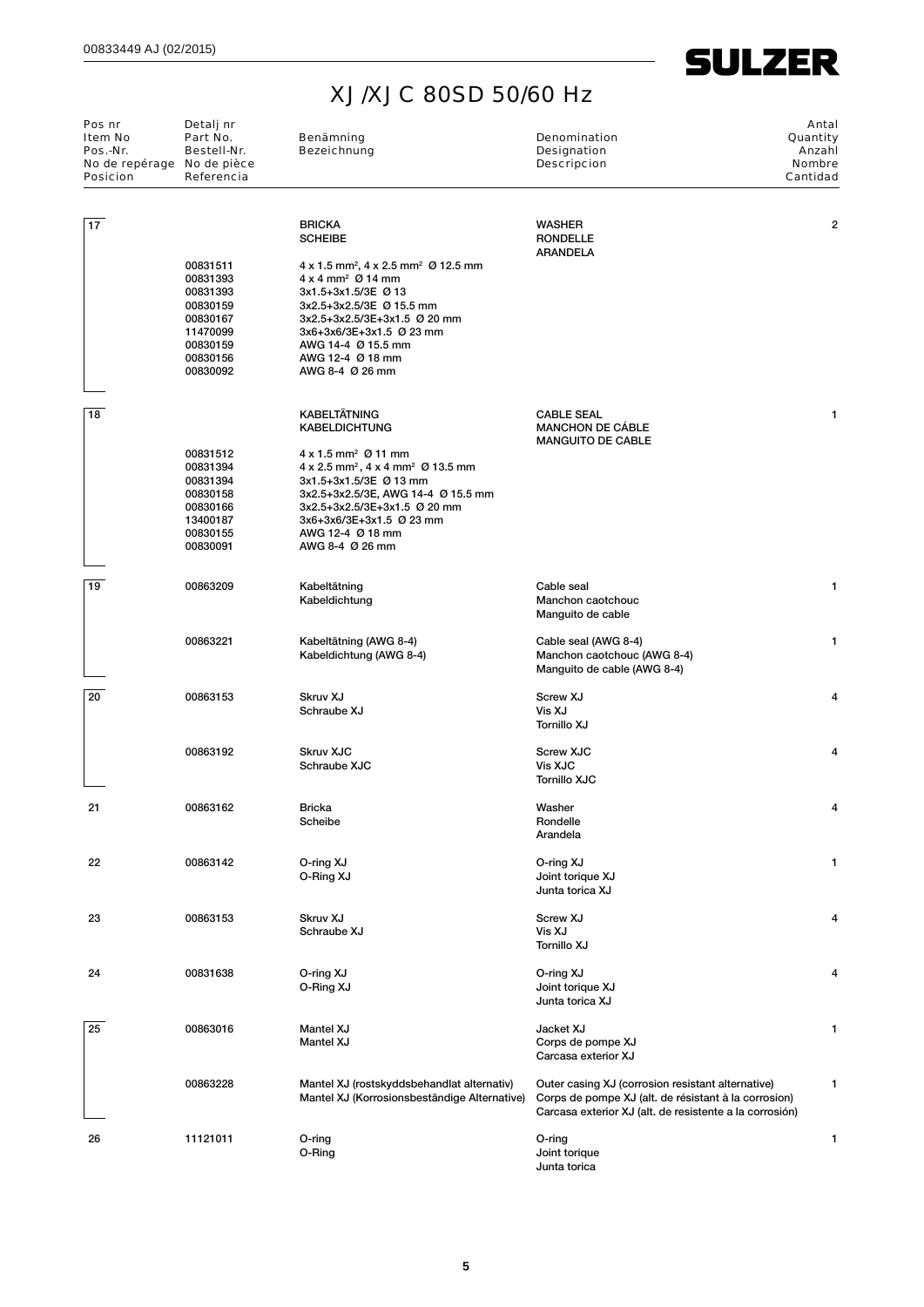| Pos nr<br><b>Item No</b><br>Pos.-Nr.<br>No de repérage No de pièce<br><b>Posicion</b> | Detalj nr<br>Part No.<br>Bestell-Nr.<br>Referencia                                                       | Benämning<br><b>Bezeichnung</b>                                                                                                                                                                                                                                                                           | <b>Denomination</b><br><b>Designation</b><br><b>Descripcion</b>                                                                                                      | Antal<br>Quantity<br>Anzahl<br><b>Nombre</b><br>Cantidad |
|---------------------------------------------------------------------------------------|----------------------------------------------------------------------------------------------------------|-----------------------------------------------------------------------------------------------------------------------------------------------------------------------------------------------------------------------------------------------------------------------------------------------------------|----------------------------------------------------------------------------------------------------------------------------------------------------------------------|----------------------------------------------------------|
| 17                                                                                    |                                                                                                          | <b>BRICKA</b><br><b>SCHEIBE</b>                                                                                                                                                                                                                                                                           | <b>WASHER</b><br><b>RONDELLE</b><br><b>ARANDELA</b>                                                                                                                  | 2                                                        |
|                                                                                       | 00831511<br>00831393<br>00831393<br>00830159<br>00830167<br>11470099<br>00830159<br>00830156<br>00830092 | $4 \times 1.5$ mm <sup>2</sup> , $4 \times 2.5$ mm <sup>2</sup> Ø 12.5 mm<br>$4 \times 4$ mm <sup>2</sup> $\varnothing$ 14 mm<br>3x1.5+3x1.5/3E Ø 13<br>3x2.5+3x2.5/3E Ø 15.5 mm<br>3x2.5+3x2.5/3E+3x1.5 Ø 20 mm<br>3x6+3x6/3E+3x1.5 Ø 23 mm<br>AWG 14-4 Ø 15.5 mm<br>AWG 12-4 Ø 18 mm<br>AWG 8-4 Ø 26 mm |                                                                                                                                                                      |                                                          |
| 18                                                                                    |                                                                                                          | <b>KABELTÄTNING</b><br><b>KABELDICHTUNG</b>                                                                                                                                                                                                                                                               | <b>CABLE SEAL</b><br><b>MANCHON DE CABLE</b><br><b>MANGUITO DE CABLE</b>                                                                                             | 1                                                        |
|                                                                                       | 00831512<br>00831394<br>00831394<br>00830158<br>00830166<br>13400187<br>00830155<br>00830091             | $4 \times 1.5$ mm <sup>2</sup> Ø 11 mm<br>$4 \times 2.5$ mm <sup>2</sup> , $4 \times 4$ mm <sup>2</sup> Ø 13.5 mm<br>3x1.5+3x1.5/3E Ø 13 mm<br>3x2.5+3x2.5/3E, AWG 14-4 Ø 15.5 mm<br>3x2.5+3x2.5/3E+3x1.5 Ø 20 mm<br>3x6+3x6/3E+3x1.5 Ø 23 mm<br>AWG 12-4 Ø 18 mm<br>AWG 8-4 Ø 26 mm                      |                                                                                                                                                                      |                                                          |
| 19                                                                                    | 00863209                                                                                                 | Kabeltätning<br>Kabeldichtung                                                                                                                                                                                                                                                                             | Cable seal<br>Manchon caotchouc<br>Manguito de cable                                                                                                                 | 1                                                        |
|                                                                                       | 00863221                                                                                                 | Kabeltätning (AWG 8-4)<br>Kabeldichtung (AWG 8-4)                                                                                                                                                                                                                                                         | Cable seal (AWG 8-4)<br>Manchon caotchouc (AWG 8-4)<br>Manguito de cable (AWG 8-4)                                                                                   | 1                                                        |
| 20                                                                                    | 00863153                                                                                                 | Skruv XJ<br>Schraube XJ                                                                                                                                                                                                                                                                                   | Screw XJ<br>Vis XJ<br>Tornillo XJ                                                                                                                                    | 4                                                        |
|                                                                                       | 00863192                                                                                                 | Skruv XJC<br>Schraube XJC                                                                                                                                                                                                                                                                                 | <b>Screw XJC</b><br>Vis XJC<br><b>Tornillo XJC</b>                                                                                                                   | 4                                                        |
| 21                                                                                    | 00863162                                                                                                 | Bricka<br>Scheibe                                                                                                                                                                                                                                                                                         | Washer<br>Rondelle<br>Arandela                                                                                                                                       | 4                                                        |
| 22                                                                                    | 00863142                                                                                                 | O-ring XJ<br>O-Ring XJ                                                                                                                                                                                                                                                                                    | O-ring XJ<br>Joint torique XJ<br>Junta torica XJ                                                                                                                     | 1                                                        |
| 23                                                                                    | 00863153                                                                                                 | Skruv XJ<br>Schraube XJ                                                                                                                                                                                                                                                                                   | Screw XJ<br>Vis XJ<br>Tornillo XJ                                                                                                                                    | Δ                                                        |
| 24                                                                                    | 00831638                                                                                                 | O-ring XJ<br>O-Ring XJ                                                                                                                                                                                                                                                                                    | O-ring XJ<br>Joint torique XJ<br>Junta torica XJ                                                                                                                     | 4                                                        |
| 25                                                                                    | 00863016                                                                                                 | Mantel XJ<br>Mantel XJ                                                                                                                                                                                                                                                                                    | Jacket XJ<br>Corps de pompe XJ<br>Carcasa exterior XJ                                                                                                                | 1                                                        |
|                                                                                       | 00863228                                                                                                 | Mantel XJ (rostskyddsbehandlat alternativ)<br>Mantel XJ (Korrosionsbeständige Alternative)                                                                                                                                                                                                                | Outer casing XJ (corrosion resistant alternative)<br>Corps de pompe XJ (alt. de résistant à la corrosion)<br>Carcasa exterior XJ (alt. de resistente a la corrosión) | 1                                                        |
| 26                                                                                    | 11121011                                                                                                 | O-ring<br>O-Ring                                                                                                                                                                                                                                                                                          | O-ring<br>Joint torique<br>Junta torica                                                                                                                              | 1                                                        |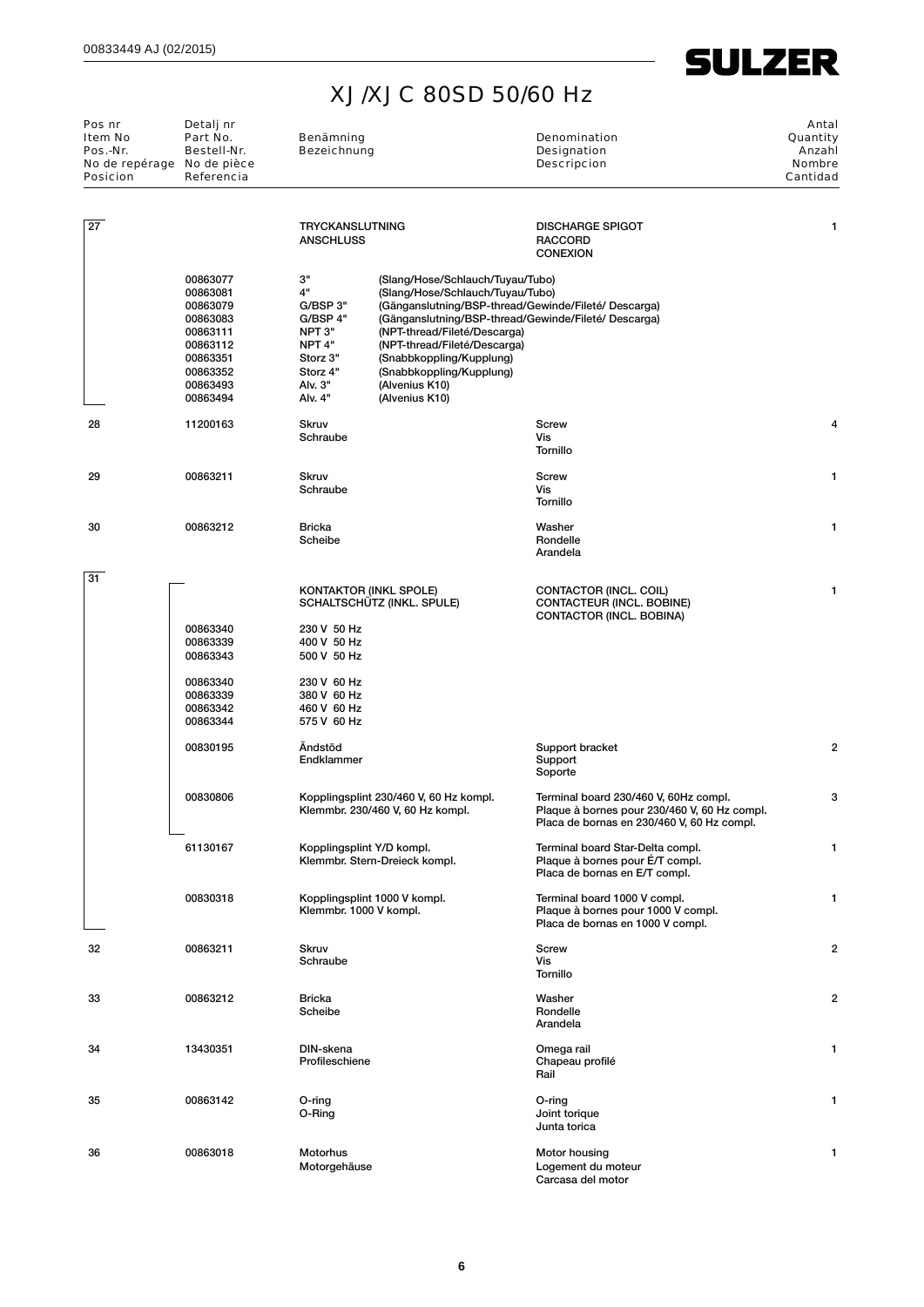

| Pos nr<br><b>Item No</b><br>Pos.-Nr.<br>No de repérage No de pièce<br><b>Posicion</b> | Detalj nr<br>Part No.<br>Bestell-Nr.<br>Referencia                                                                   | Benämning<br><b>Bezeichnung</b>                                                                          |                                                                                                                                                                                                                                                                                                                                                  | <b>Denomination</b><br><b>Designation</b><br><b>Descripcion</b>                                                                     | Antal<br>Quantity<br>Anzahl<br><b>Nombre</b><br>Cantidad |
|---------------------------------------------------------------------------------------|----------------------------------------------------------------------------------------------------------------------|----------------------------------------------------------------------------------------------------------|--------------------------------------------------------------------------------------------------------------------------------------------------------------------------------------------------------------------------------------------------------------------------------------------------------------------------------------------------|-------------------------------------------------------------------------------------------------------------------------------------|----------------------------------------------------------|
| $\overline{27}$                                                                       |                                                                                                                      | <b>TRYCKANSLUTNING</b><br><b>ANSCHLUSS</b>                                                               |                                                                                                                                                                                                                                                                                                                                                  | <b>DISCHARGE SPIGOT</b><br><b>RACCORD</b><br><b>CONEXION</b>                                                                        | 1                                                        |
|                                                                                       | 00863077<br>00863081<br>00863079<br>00863083<br>00863111<br>00863112<br>00863351<br>00863352<br>00863493<br>00863494 | з"<br>4"<br>G/BSP 3"<br>G/BSP 4"<br>NPT 3"<br>NPT 4"<br>Storz 3"<br>Storz 4"<br>Alv. 3"<br>Alv. 4"       | (Slang/Hose/Schlauch/Tuyau/Tubo)<br>(Slang/Hose/Schlauch/Tuyau/Tubo)<br>(Gänganslutning/BSP-thread/Gewinde/Fileté/ Descarga)<br>(Gänganslutning/BSP-thread/Gewinde/Fileté/ Descarga)<br>(NPT-thread/Fileté/Descarga)<br>(NPT-thread/Fileté/Descarga)<br>(Snabbkoppling/Kupplung)<br>(Snabbkoppling/Kupplung)<br>(Alvenius K10)<br>(Alvenius K10) |                                                                                                                                     |                                                          |
| 28                                                                                    | 11200163                                                                                                             | <b>Skruv</b><br>Schraube                                                                                 |                                                                                                                                                                                                                                                                                                                                                  | <b>Screw</b><br>Vis<br><b>Tornillo</b>                                                                                              | 4                                                        |
| 29                                                                                    | 00863211                                                                                                             | <b>Skruv</b><br>Schraube                                                                                 |                                                                                                                                                                                                                                                                                                                                                  | Screw<br>Vis<br>Tornillo                                                                                                            | 1                                                        |
| 30                                                                                    | 00863212                                                                                                             | <b>Bricka</b><br>Scheibe                                                                                 |                                                                                                                                                                                                                                                                                                                                                  | Washer<br>Rondelle<br>Arandela                                                                                                      | 1                                                        |
| 31                                                                                    | 00863340<br>00863339<br>00863343<br>00863340<br>00863339                                                             | <b>KONTAKTOR (INKL SPOLE)</b><br>230 V 50 Hz<br>400 V 50 Hz<br>500 V 50 Hz<br>230 V 60 Hz<br>380 V 60 Hz | SCHALTSCHÜTZ (INKL. SPULE)                                                                                                                                                                                                                                                                                                                       | CONTACTOR (INCL. COIL)<br>CONTACTEUR (INCL. BOBINE)<br>CONTACTOR (INCL. BOBINA)                                                     | 1                                                        |
|                                                                                       | 00863342<br>00863344                                                                                                 | 460 V 60 Hz<br>575 V 60 Hz                                                                               |                                                                                                                                                                                                                                                                                                                                                  |                                                                                                                                     |                                                          |
|                                                                                       | 00830195                                                                                                             | Ändstöd<br>Endklammer                                                                                    |                                                                                                                                                                                                                                                                                                                                                  | Support bracket<br>Support<br>Soporte                                                                                               | $\overline{2}$                                           |
|                                                                                       | 00830806                                                                                                             |                                                                                                          | Kopplingsplint 230/460 V, 60 Hz kompl.<br>Klemmbr. 230/460 V, 60 Hz kompl.                                                                                                                                                                                                                                                                       | Terminal board 230/460 V, 60Hz compl.<br>Plaque à bornes pour 230/460 V, 60 Hz compl.<br>Placa de bornas en 230/460 V, 60 Hz compl. | 3                                                        |
|                                                                                       | 61130167                                                                                                             | Kopplingsplint Y/D kompl.                                                                                | Klemmbr. Stern-Dreieck kompl.                                                                                                                                                                                                                                                                                                                    | Terminal board Star-Delta compl.<br>Plaque à bornes pour E/T compl.<br>Placa de bornas en E/T compl.                                | $\mathbf{1}$                                             |
|                                                                                       | 00830318                                                                                                             | Klemmbr. 1000 V kompl.                                                                                   | Kopplingsplint 1000 V kompl.                                                                                                                                                                                                                                                                                                                     | Terminal board 1000 V compl.<br>Plaque à bornes pour 1000 V compl.<br>Placa de bornas en 1000 V compl.                              | $\mathbf{1}$                                             |
| 32                                                                                    | 00863211                                                                                                             | <b>Skruv</b><br>Schraube                                                                                 |                                                                                                                                                                                                                                                                                                                                                  | <b>Screw</b><br>Vis<br>Tornillo                                                                                                     | $\overline{2}$                                           |
| 33                                                                                    | 00863212                                                                                                             | <b>Bricka</b><br>Scheibe                                                                                 |                                                                                                                                                                                                                                                                                                                                                  | Washer<br>Rondelle<br>Arandela                                                                                                      | $\overline{2}$                                           |
| 34                                                                                    | 13430351                                                                                                             | DIN-skena<br>Profileschiene                                                                              |                                                                                                                                                                                                                                                                                                                                                  | Omega rail<br>Chapeau profilé<br>Rail                                                                                               | 1                                                        |
| 35                                                                                    | 00863142                                                                                                             | O-ring<br>O-Ring                                                                                         |                                                                                                                                                                                                                                                                                                                                                  | O-ring<br>Joint torique<br>Junta torica                                                                                             | 1                                                        |
| 36                                                                                    | 00863018                                                                                                             | <b>Motorhus</b><br>Motorgehäuse                                                                          |                                                                                                                                                                                                                                                                                                                                                  | Motor housing<br>Logement du moteur<br>Carcasa del motor                                                                            | 1                                                        |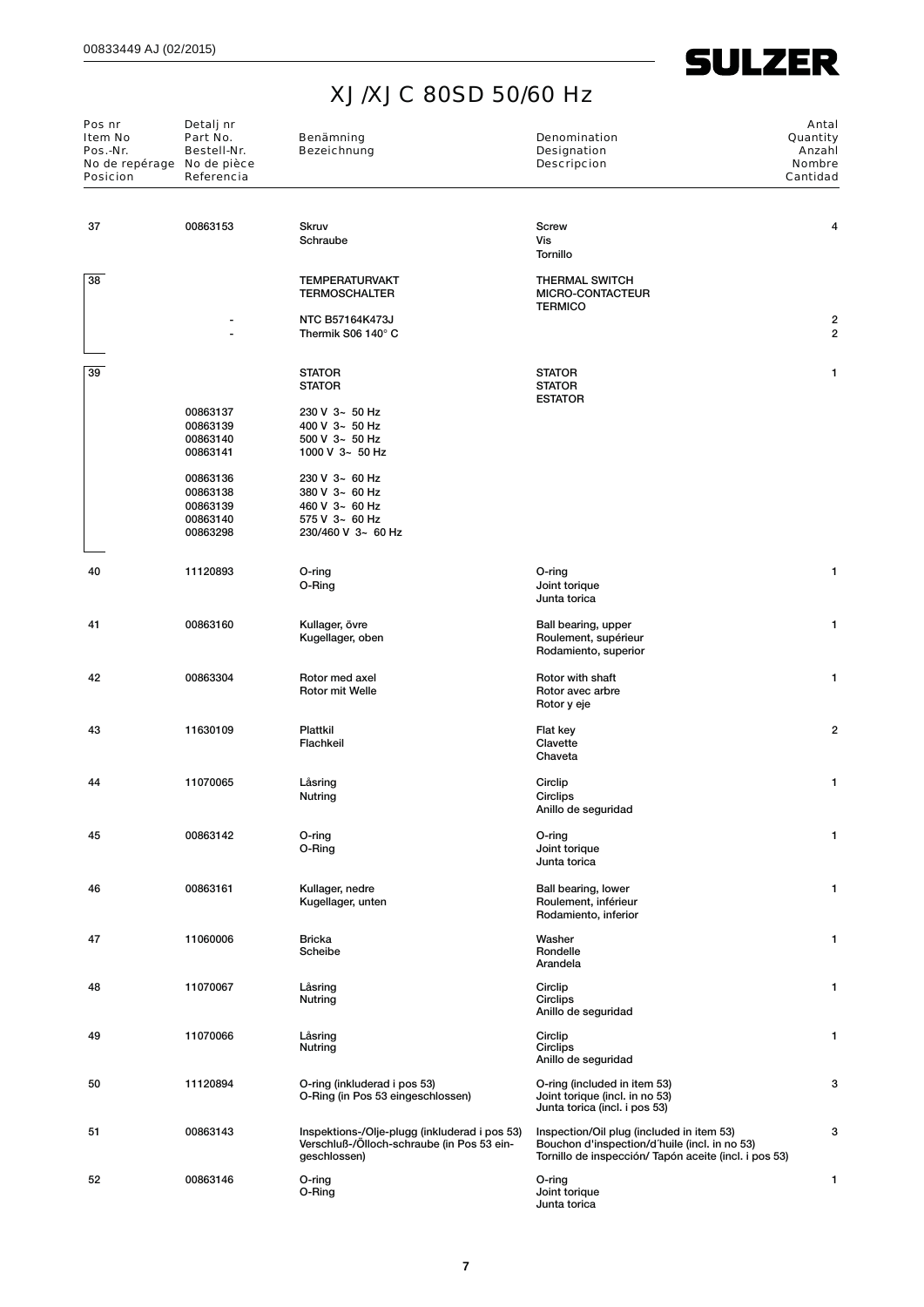| Pos nr<br><b>Item No</b><br>Pos.-Nr.<br>No de repérage No de pièce<br><b>Posicion</b> | Detalj nr<br>Part No.<br>Bestell-Nr.<br>Referencia       | Benämning<br><b>Bezeichnung</b>                                                                             | <b>Denomination</b><br><b>Designation</b><br><b>Descripcion</b>                                                                                     | Antal<br>Quantity<br>Anzahl<br>Nombre<br>Cantidad |
|---------------------------------------------------------------------------------------|----------------------------------------------------------|-------------------------------------------------------------------------------------------------------------|-----------------------------------------------------------------------------------------------------------------------------------------------------|---------------------------------------------------|
| 37                                                                                    | 00863153                                                 | <b>Skruv</b><br>Schraube                                                                                    | <b>Screw</b><br>Vis<br>Tornillo                                                                                                                     | 4                                                 |
| 38                                                                                    |                                                          | <b>TEMPERATURVAKT</b><br><b>TERMOSCHALTER</b>                                                               | <b>THERMAL SWITCH</b><br>MICRO-CONTACTEUR<br><b>TERMICO</b>                                                                                         |                                                   |
|                                                                                       |                                                          | <b>NTC B57164K473J</b><br>Thermik S06 140° C                                                                |                                                                                                                                                     | 2<br>2                                            |
| 39                                                                                    |                                                          | <b>STATOR</b><br><b>STATOR</b>                                                                              | <b>STATOR</b><br><b>STATOR</b><br><b>ESTATOR</b>                                                                                                    | 1                                                 |
|                                                                                       | 00863137<br>00863139<br>00863140<br>00863141             | 230 V 3~ 50 Hz<br>400 V 3~ 50 Hz<br>$500$ V $3 - 50$ Hz<br>1000 V $3 - 50$ Hz                               |                                                                                                                                                     |                                                   |
|                                                                                       | 00863136<br>00863138<br>00863139<br>00863140<br>00863298 | 230 V 3~ 60 Hz<br>380 V 3~ 60 Hz<br>460 V 3~ 60 Hz<br>575 V 3~ 60 Hz<br>230/460 V 3~ 60 Hz                  |                                                                                                                                                     |                                                   |
| 40                                                                                    | 11120893                                                 | O-ring<br>O-Ring                                                                                            | O-ring<br>Joint torique<br>Junta torica                                                                                                             | 1                                                 |
| 41                                                                                    | 00863160                                                 | Kullager, övre<br>Kugellager, oben                                                                          | Ball bearing, upper<br>Roulement, supérieur<br>Rodamiento, superior                                                                                 | 1                                                 |
| 42                                                                                    | 00863304                                                 | Rotor med axel<br>Rotor mit Welle                                                                           | Rotor with shaft<br>Rotor avec arbre<br>Rotor y eje                                                                                                 | 1                                                 |
| 43                                                                                    | 11630109                                                 | Plattkil<br>Flachkeil                                                                                       | Flat key<br>Clavette<br>Chaveta                                                                                                                     | 2                                                 |
| 44                                                                                    | 11070065                                                 | Låsring<br>Nutring                                                                                          | Circlip<br>Circlips<br>Anillo de seguridad                                                                                                          | 1                                                 |
| 45                                                                                    | 00863142                                                 | O-ring<br>O-Ring                                                                                            | O-ring<br>Joint torique<br>Junta torica                                                                                                             | 1                                                 |
| 46                                                                                    | 00863161                                                 | Kullager, nedre<br>Kugellager, unten                                                                        | Ball bearing, lower<br>Roulement, inférieur<br>Rodamiento, inferior                                                                                 | 1                                                 |
| 47                                                                                    | 11060006                                                 | Bricka<br>Scheibe                                                                                           | Washer<br>Rondelle<br>Arandela                                                                                                                      | 1                                                 |
| 48                                                                                    | 11070067                                                 | Låsring<br>Nutring                                                                                          | Circlip<br>Circlips<br>Anillo de seguridad                                                                                                          | 1                                                 |
| 49                                                                                    | 11070066                                                 | Låsring<br>Nutring                                                                                          | Circlip<br>Circlips<br>Anillo de seguridad                                                                                                          | 1                                                 |
| 50                                                                                    | 11120894                                                 | O-ring (inkluderad i pos 53)<br>O-Ring (in Pos 53 eingeschlossen)                                           | O-ring (included in item 53)<br>Joint torique (incl. in no 53)<br>Junta torica (incl. i pos 53)                                                     | 3                                                 |
| 51                                                                                    | 00863143                                                 | Inspektions-/Olje-plugg (inkluderad i pos 53)<br>Verschluß-/Ölloch-schraube (in Pos 53 ein-<br>geschlossen) | Inspection/Oil plug (included in item 53)<br>Bouchon d'inspection/d'huile (incl. in no 53)<br>Tornillo de inspección/ Tapón aceite (incl. i pos 53) | 3                                                 |
| 52                                                                                    | 00863146                                                 | O-ring<br>O-Ring                                                                                            | O-ring<br>Joint torique<br>Junta torica                                                                                                             | $\mathbf{1}$                                      |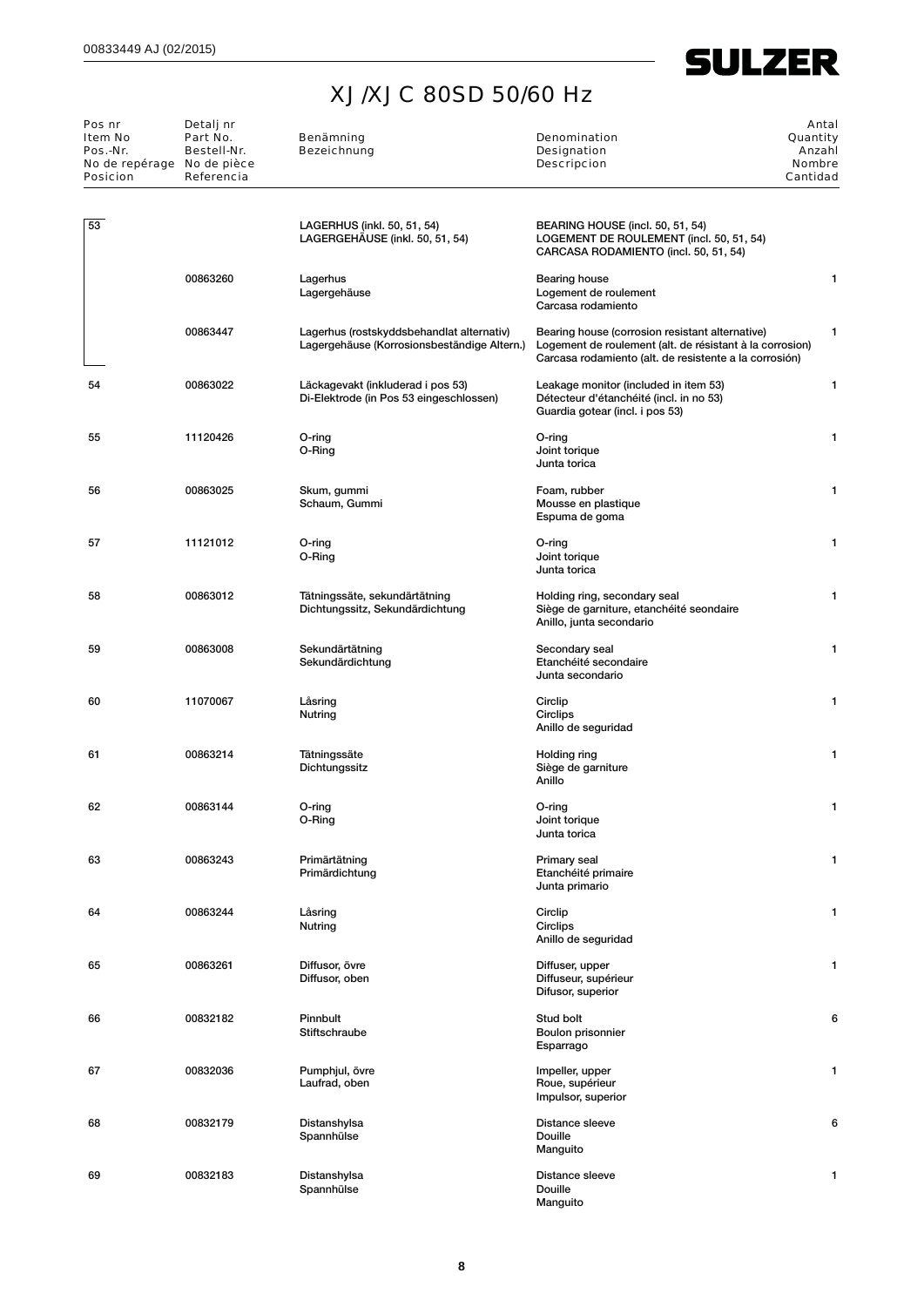

| Pos nr<br>Item No          | Detalj nr<br>Part No. | Benämning                                                                                | Denomination                                                                                                                                                          | Antal<br>Quantity |
|----------------------------|-----------------------|------------------------------------------------------------------------------------------|-----------------------------------------------------------------------------------------------------------------------------------------------------------------------|-------------------|
| Pos.-Nr.                   | Bestell-Nr.           | <b>Bezeichnung</b>                                                                       | Designation                                                                                                                                                           | Anzahl            |
| No de repérage No de pièce |                       |                                                                                          | <b>Descripcion</b>                                                                                                                                                    | <b>Nombre</b>     |
| <b>Posicion</b>            | Referencia            |                                                                                          |                                                                                                                                                                       | Cantidad          |
|                            |                       |                                                                                          |                                                                                                                                                                       |                   |
| 53                         |                       | LAGERHUS (inkl. 50, 51, 54)<br>LAGERGEHÄUSE (inkl. 50, 51, 54)                           | BEARING HOUSE (incl. 50, 51, 54)<br>LOGEMENT DE ROULEMENT (incl. 50, 51, 54)<br>CARCASA RODAMIENTO (incl. 50, 51, 54)                                                 |                   |
|                            | 00863260              | Lagerhus<br>Lagergehäuse                                                                 | Bearing house<br>Logement de roulement<br>Carcasa rodamiento                                                                                                          | 1                 |
|                            | 00863447              | Lagerhus (rostskyddsbehandlat alternativ)<br>Lagergehäuse (Korrosionsbeständige Altern.) | Bearing house (corrosion resistant alternative)<br>Logement de roulement (alt. de résistant à la corrosion)<br>Carcasa rodamiento (alt. de resistente a la corrosión) | 1                 |
| 54                         | 00863022              | Läckagevakt (inkluderad i pos 53)<br>Di-Elektrode (in Pos 53 eingeschlossen)             | Leakage monitor (included in item 53)<br>Détecteur d'étanchéité (incl. in no 53)<br>Guardia gotear (incl. i pos 53)                                                   | 1                 |
| 55                         | 11120426              | O-ring<br>O-Ring                                                                         | O-ring<br>Joint torique<br>Junta torica                                                                                                                               | 1                 |
| 56                         | 00863025              | Skum, gummi<br>Schaum, Gummi                                                             | Foam, rubber<br>Mousse en plastique<br>Espuma de goma                                                                                                                 | 1                 |
| 57                         | 11121012              | O-ring<br>O-Ring                                                                         | O-ring<br>Joint torique<br>Junta torica                                                                                                                               | 1                 |
| 58                         | 00863012              | Tätningssäte, sekundärtätning<br>Dichtungssitz, Sekundärdichtung                         | Holding ring, secondary seal<br>Siège de garniture, etanchéité seondaire<br>Anillo, junta secondario                                                                  | 1                 |
| 59                         | 00863008              | Sekundärtätning<br>Sekundärdichtung                                                      | Secondary seal<br>Etanchéité secondaire<br>Junta secondario                                                                                                           | 1                 |
| 60                         | 11070067              | Låsring<br>Nutring                                                                       | Circlip<br>Circlips<br>Anillo de seguridad                                                                                                                            | 1                 |
| 61                         | 00863214              | Tätningssäte<br>Dichtungssitz                                                            | Holding ring<br>Siège de garniture<br>Anillo                                                                                                                          | 1                 |
| 62                         | 00863144              | O-ring<br>O-Ring                                                                         | O-ring<br>Joint torique<br>Junta torica                                                                                                                               | 1                 |
| 63                         | 00863243              | Primärtätning<br>Primärdichtung                                                          | Primary seal<br>Etanchéité primaire<br>Junta primario                                                                                                                 | 1                 |
| 64                         | 00863244              | Låsring<br>Nutring                                                                       | Circlip<br>Circlips<br>Anillo de seguridad                                                                                                                            | 1                 |
| 65                         | 00863261              | Diffusor, övre<br>Diffusor, oben                                                         | Diffuser, upper<br>Diffuseur, supérieur<br>Difusor, superior                                                                                                          | 1                 |
| 66                         | 00832182              | Pinnbult<br>Stiftschraube                                                                | Stud bolt<br>Boulon prisonnier<br>Esparrago                                                                                                                           | 6                 |
| 67                         | 00832036              | Pumphjul, övre<br>Laufrad, oben                                                          | Impeller, upper<br>Roue, supérieur<br>Impulsor, superior                                                                                                              | 1                 |
| 68                         | 00832179              | Distanshylsa<br>Spannhülse                                                               | Distance sleeve<br>Douille<br>Manguito                                                                                                                                | 6                 |
| 69                         | 00832183              | Distanshylsa<br>Spannhülse                                                               | Distance sleeve<br>Douille<br>Manguito                                                                                                                                | 1                 |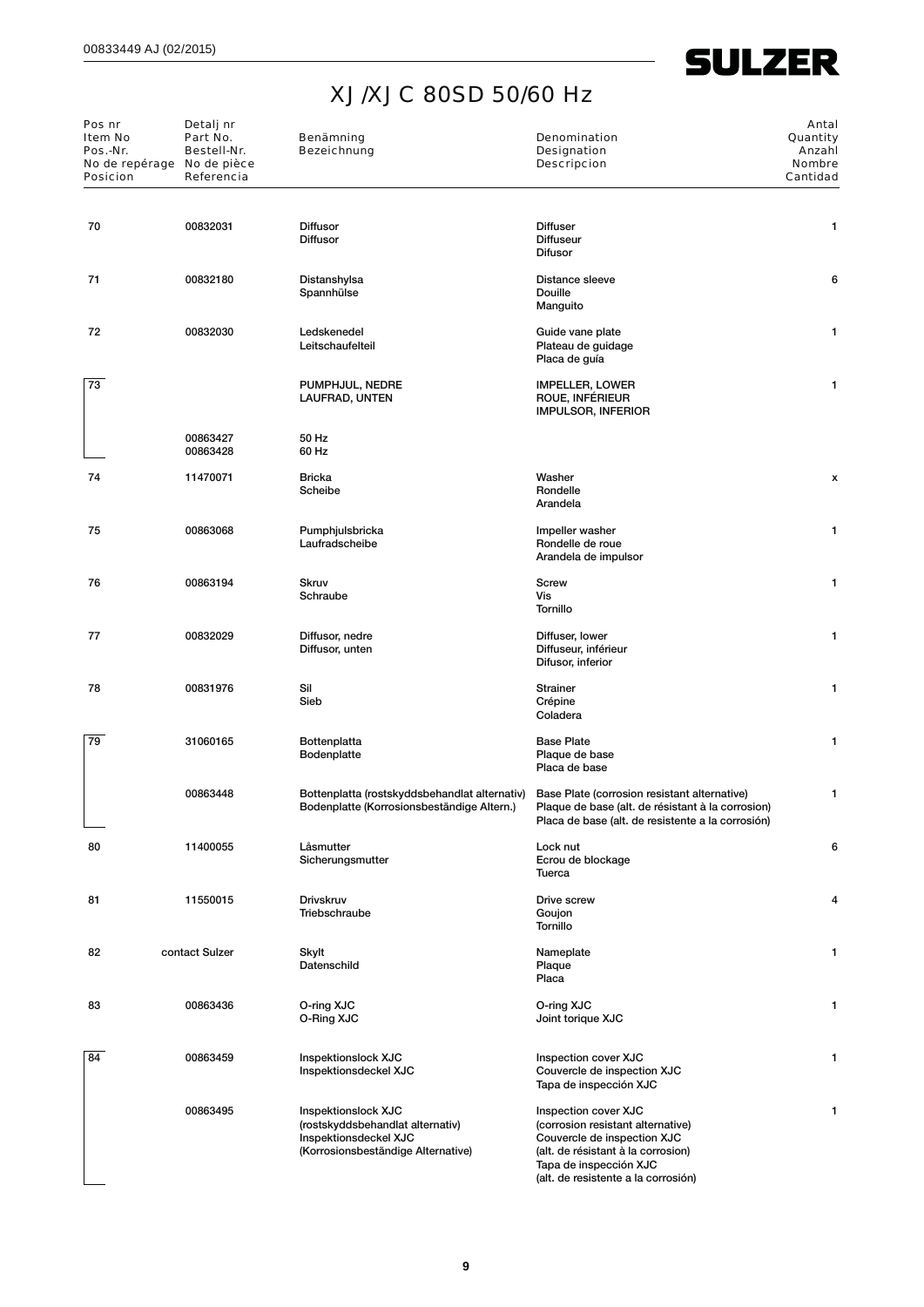| Pos nr<br><b>Item No</b><br>Pos.-Nr.<br>No de repérage No de pièce<br><b>Posicion</b> | Detalj nr<br>Part No.<br>Bestell-Nr.<br>Referencia | Benämning<br><b>Bezeichnung</b>                                                                                        | Denomination<br><b>Designation</b><br><b>Descripcion</b>                                                                                                                                        | Antal<br>Quantity<br>Anzahl<br><b>Nombre</b><br>Cantidad |
|---------------------------------------------------------------------------------------|----------------------------------------------------|------------------------------------------------------------------------------------------------------------------------|-------------------------------------------------------------------------------------------------------------------------------------------------------------------------------------------------|----------------------------------------------------------|
| 70                                                                                    | 00832031                                           | <b>Diffusor</b>                                                                                                        | <b>Diffuser</b>                                                                                                                                                                                 | 1                                                        |
|                                                                                       |                                                    | <b>Diffusor</b>                                                                                                        | <b>Diffuseur</b><br><b>Difusor</b>                                                                                                                                                              |                                                          |
| 71                                                                                    | 00832180                                           | Distanshylsa<br>Spannhülse                                                                                             | Distance sleeve<br>Douille<br>Manguito                                                                                                                                                          | 6                                                        |
| 72                                                                                    | 00832030                                           | Ledskenedel<br>Leitschaufelteil                                                                                        | Guide vane plate<br>Plateau de guidage<br>Placa de guía                                                                                                                                         | 1                                                        |
| 73                                                                                    |                                                    | PUMPHJUL, NEDRE<br>LAUFRAD, UNTEN                                                                                      | <b>IMPELLER, LOWER</b><br>ROUE, INFÉRIEUR<br><b>IMPULSOR, INFERIOR</b>                                                                                                                          | 1                                                        |
|                                                                                       | 00863427<br>00863428                               | 50 Hz<br>60 Hz                                                                                                         |                                                                                                                                                                                                 |                                                          |
| 74                                                                                    | 11470071                                           | <b>Bricka</b><br>Scheibe                                                                                               | Washer<br>Rondelle<br>Arandela                                                                                                                                                                  | x                                                        |
| 75                                                                                    | 00863068                                           | Pumphjulsbricka<br>Laufradscheibe                                                                                      | Impeller washer<br>Rondelle de roue<br>Arandela de impulsor                                                                                                                                     | 1                                                        |
| 76                                                                                    | 00863194                                           | <b>Skruv</b><br>Schraube                                                                                               | <b>Screw</b><br>Vis<br>Tornillo                                                                                                                                                                 | 1                                                        |
| 77                                                                                    | 00832029                                           | Diffusor, nedre<br>Diffusor, unten                                                                                     | Diffuser, lower<br>Diffuseur, inférieur<br>Difusor, inferior                                                                                                                                    | 1                                                        |
| 78                                                                                    | 00831976                                           | Sil<br>Sieb                                                                                                            | <b>Strainer</b><br>Crépine<br>Coladera                                                                                                                                                          | 1                                                        |
| 79                                                                                    | 31060165                                           | Bottenplatta<br><b>Bodenplatte</b>                                                                                     | <b>Base Plate</b><br>Plaque de base<br>Placa de base                                                                                                                                            | 1                                                        |
|                                                                                       | 00863448                                           | Bottenplatta (rostskyddsbehandlat alternativ)<br>Bodenplatte (Korrosionsbeständige Altern.)                            | Base Plate (corrosion resistant alternative)<br>Plaque de base (alt. de résistant à la corrosion)<br>Placa de base (alt. de resistente a la corrosión)                                          | 1                                                        |
| 80                                                                                    | 11400055                                           | Låsmutter<br>Sicherungsmutter                                                                                          | Lock nut<br>Ecrou de blockage<br>Tuerca                                                                                                                                                         | 6                                                        |
| 81                                                                                    | 11550015                                           | <b>Drivskruv</b><br>Triebschraube                                                                                      | Drive screw<br>Goujon<br>Tornillo                                                                                                                                                               | 4                                                        |
| 82                                                                                    | contact Sulzer                                     | Skylt<br>Datenschild                                                                                                   | Nameplate<br>Plaque<br>Placa                                                                                                                                                                    | 1                                                        |
| 83                                                                                    | 00863436                                           | O-ring XJC<br>O-Ring XJC                                                                                               | O-ring XJC<br>Joint torique XJC                                                                                                                                                                 | 1                                                        |
| 84                                                                                    | 00863459                                           | Inspektionslock XJC<br>Inspektionsdeckel XJC                                                                           | Inspection cover XJC<br>Couvercle de inspection XJC<br>Tapa de inspección XJC                                                                                                                   | 1                                                        |
|                                                                                       | 00863495                                           | Inspektionslock XJC<br>(rostskyddsbehandlat alternativ)<br>Inspektionsdeckel XJC<br>(Korrosionsbeständige Alternative) | Inspection cover XJC<br>(corrosion resistant alternative)<br>Couvercle de inspection XJC<br>(alt. de résistant à la corrosion)<br>Tapa de inspección XJC<br>(alt. de resistente a la corrosión) | 1                                                        |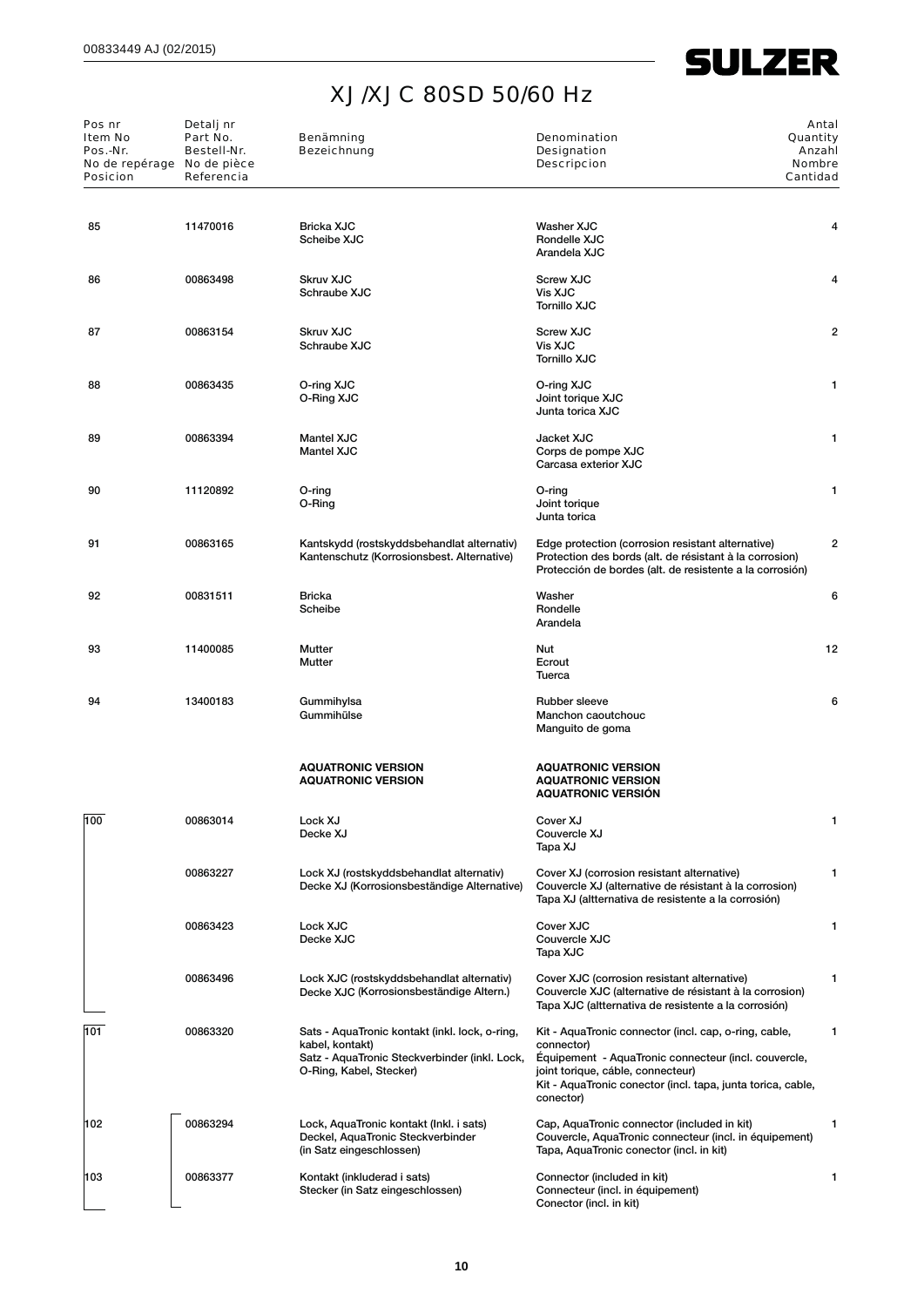| Pos nr<br>Item No<br>Pos.-Nr.<br>No de repérage No de pièce<br><b>Posicion</b> | Detalj nr<br>Part No.<br>Bestell-Nr.<br>Referencia | <b>Benämning</b><br><b>Bezeichnung</b>                                                                                                        | <b>Denomination</b><br>Designation<br><b>Descripcion</b>                                                                                                                                                                                     | Antal<br>Quantity<br>Anzahl<br><b>Nombre</b><br>Cantidad |
|--------------------------------------------------------------------------------|----------------------------------------------------|-----------------------------------------------------------------------------------------------------------------------------------------------|----------------------------------------------------------------------------------------------------------------------------------------------------------------------------------------------------------------------------------------------|----------------------------------------------------------|
| 85                                                                             | 11470016                                           | <b>Bricka XJC</b><br>Scheibe XJC                                                                                                              | Washer XJC<br>Rondelle XJC<br>Arandela XJC                                                                                                                                                                                                   | 4                                                        |
| 86                                                                             | 00863498                                           | <b>Skruv XJC</b><br>Schraube XJC                                                                                                              | <b>Screw XJC</b><br>Vis XJC<br><b>Tornillo XJC</b>                                                                                                                                                                                           | 4                                                        |
| 87                                                                             | 00863154                                           | <b>Skruv XJC</b><br>Schraube XJC                                                                                                              | <b>Screw XJC</b><br>Vis XJC<br><b>Tornillo XJC</b>                                                                                                                                                                                           | $\overline{2}$                                           |
| 88                                                                             | 00863435                                           | O-ring XJC<br>O-Ring XJC                                                                                                                      | O-ring XJC<br>Joint torique XJC<br>Junta torica XJC                                                                                                                                                                                          | 1                                                        |
| 89                                                                             | 00863394                                           | <b>Mantel XJC</b><br><b>Mantel XJC</b>                                                                                                        | Jacket XJC<br>Corps de pompe XJC<br>Carcasa exterior XJC                                                                                                                                                                                     | 1                                                        |
| 90                                                                             | 11120892                                           | O-ring<br>O-Ring                                                                                                                              | O-ring<br>Joint torique<br>Junta torica                                                                                                                                                                                                      | 1                                                        |
| 91                                                                             | 00863165                                           | Kantskydd (rostskyddsbehandlat alternativ)<br>Kantenschutz (Korrosionsbest. Alternative)                                                      | Edge protection (corrosion resistant alternative)<br>Protection des bords (alt. de résistant à la corrosion)<br>Protección de bordes (alt. de resistente a la corrosión)                                                                     | $\overline{2}$                                           |
| 92                                                                             | 00831511                                           | <b>Bricka</b><br>Scheibe                                                                                                                      | Washer<br>Rondelle<br>Arandela                                                                                                                                                                                                               | 6                                                        |
| 93                                                                             | 11400085                                           | Mutter<br>Mutter                                                                                                                              | Nut<br>Ecrout<br>Tuerca                                                                                                                                                                                                                      | 12                                                       |
| 94                                                                             | 13400183                                           | Gummihylsa<br>Gummihülse                                                                                                                      | <b>Rubber sleeve</b><br>Manchon caoutchouc<br>Manguito de goma                                                                                                                                                                               | 6                                                        |
|                                                                                |                                                    | <b>AQUATRONIC VERSION</b><br><b>AQUATRONIC VERSION</b>                                                                                        | <b>AQUATRONIC VERSION</b><br><b>AQUATRONIC VERSION</b><br><b>AQUATRONIC VERSION</b>                                                                                                                                                          |                                                          |
| 100                                                                            | 00863014                                           | Lock XJ<br>Decke XJ                                                                                                                           | Cover XJ<br>Couvercle XJ<br>Tapa XJ                                                                                                                                                                                                          | 1                                                        |
|                                                                                | 00863227                                           | Lock XJ (rostskyddsbehandlat alternativ)<br>Decke XJ (Korrosionsbeständige Alternative)                                                       | Cover XJ (corrosion resistant alternative)<br>Couvercle XJ (alternative de résistant à la corrosion)<br>Tapa XJ (altternativa de resistente a la corrosión)                                                                                  | 1                                                        |
|                                                                                | 00863423                                           | Lock XJC<br>Decke XJC                                                                                                                         | Cover XJC<br>Couvercle XJC<br>Tapa XJC                                                                                                                                                                                                       | 1                                                        |
|                                                                                | 00863496                                           | Lock XJC (rostskyddsbehandlat alternativ)<br>Decke XJC (Korrosionsbeständige Altern.)                                                         | Cover XJC (corrosion resistant alternative)<br>Couvercle XJC (alternative de résistant à la corrosion)<br>Tapa XJC (altternativa de resistente a la corrosión)                                                                               | 1                                                        |
| 101                                                                            | 00863320                                           | Sats - AquaTronic kontakt (inkl. lock, o-ring,<br>kabel, kontakt)<br>Satz - AquaTronic Steckverbinder (inkl. Lock,<br>O-Ring, Kabel, Stecker) | Kit - AquaTronic connector (incl. cap, o-ring, cable,<br>connector)<br>Equipement - AquaTronic connecteur (incl. couvercle,<br>joint torique, cáble, connecteur)<br>Kit - AquaTronic conector (incl. tapa, junta torica, cable,<br>conector) | 1                                                        |
| 102                                                                            | 00863294                                           | Lock, AquaTronic kontakt (Inkl. i sats)<br>Deckel, AquaTronic Steckverbinder<br>(in Satz eingeschlossen)                                      | Cap, AquaTronic connector (included in kit)<br>Couvercle, AquaTronic connecteur (incl. in équipement)<br>Tapa, AquaTronic conector (incl. in kit)                                                                                            | 1                                                        |
| 103                                                                            | 00863377                                           | Kontakt (inkluderad i sats)<br>Stecker (in Satz eingeschlossen)                                                                               | Connector (included in kit)<br>Connecteur (incl. in équipement)<br>Conector (incl. in kit)                                                                                                                                                   | 1                                                        |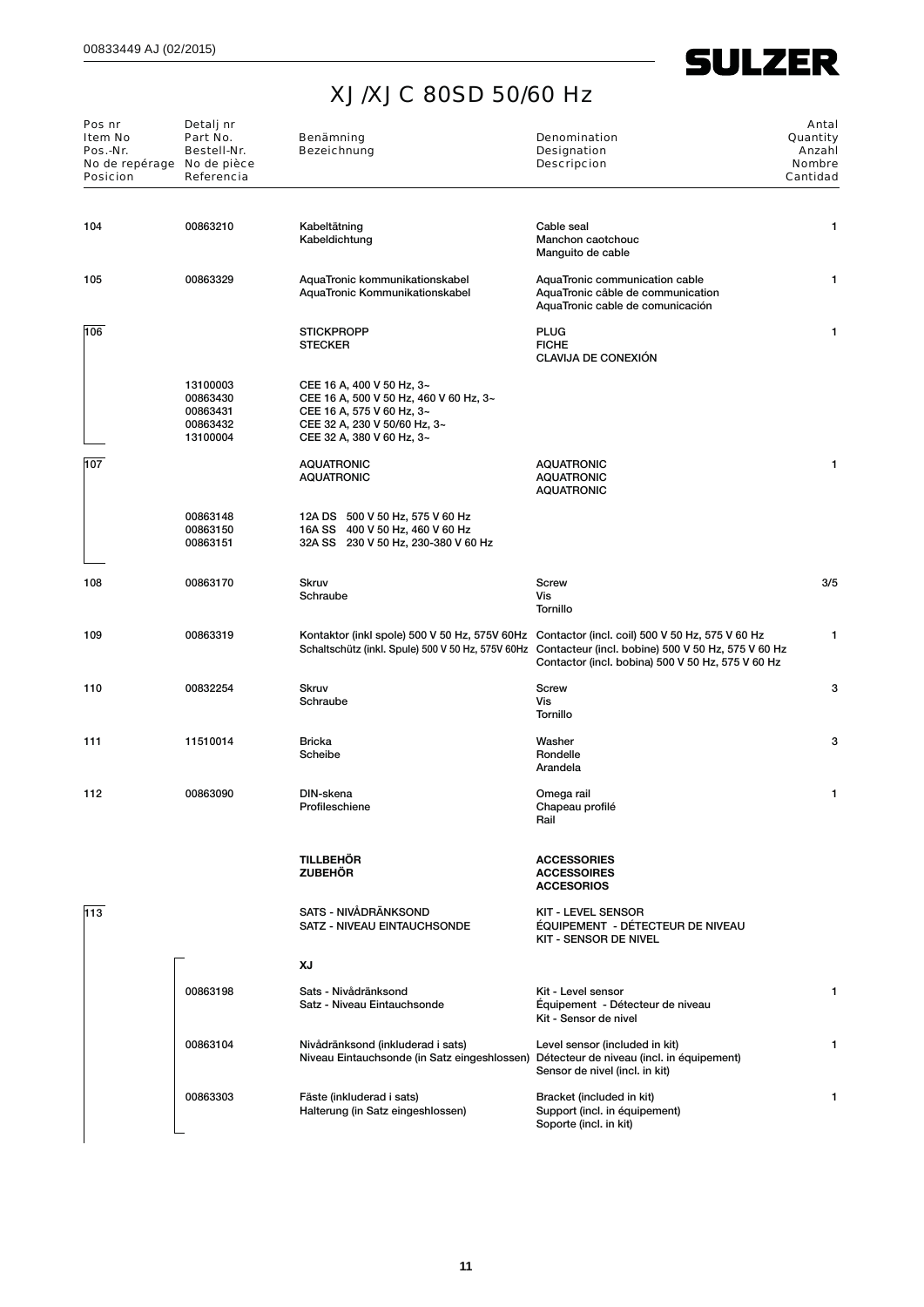| Pos nr<br><b>Item No</b><br>Pos.-Nr.<br>No de repérage No de pièce<br><b>Posicion</b> | Detalj nr<br>Part No.<br>Bestell-Nr.<br>Referencia       | Benämning<br><b>Bezeichnung</b>                                                                                                                               | <b>Denomination</b><br>Designation<br><b>Descripcion</b>                                                                                                                                                                                                   | Antal<br>Quantity<br>Anzahl<br><b>Nombre</b><br>Cantidad |
|---------------------------------------------------------------------------------------|----------------------------------------------------------|---------------------------------------------------------------------------------------------------------------------------------------------------------------|------------------------------------------------------------------------------------------------------------------------------------------------------------------------------------------------------------------------------------------------------------|----------------------------------------------------------|
| 104                                                                                   | 00863210                                                 | Kabeltätning<br>Kabeldichtung                                                                                                                                 | Cable seal<br>Manchon caotchouc<br>Manguito de cable                                                                                                                                                                                                       | 1                                                        |
| 105                                                                                   | 00863329                                                 | AquaTronic kommunikationskabel<br>AquaTronic Kommunikationskabel                                                                                              | AquaTronic communication cable<br>AquaTronic câble de communication<br>AquaTronic cable de comunicación                                                                                                                                                    | $\mathbf{1}$                                             |
| 106                                                                                   |                                                          | <b>STICKPROPP</b><br><b>STECKER</b>                                                                                                                           | <b>PLUG</b><br><b>FICHE</b><br><b>CLAVIJA DE CONEXIÓN</b>                                                                                                                                                                                                  | 1                                                        |
|                                                                                       | 13100003<br>00863430<br>00863431<br>00863432<br>13100004 | CEE 16 A, 400 V 50 Hz, 3~<br>CEE 16 A, 500 V 50 Hz, 460 V 60 Hz, 3~<br>CEE 16 A, 575 V 60 Hz, 3~<br>CEE 32 A, 230 V 50/60 Hz, 3~<br>CEE 32 A, 380 V 60 Hz, 3~ |                                                                                                                                                                                                                                                            |                                                          |
| 107                                                                                   |                                                          | <b>AQUATRONIC</b><br><b>AQUATRONIC</b>                                                                                                                        | <b>AQUATRONIC</b><br><b>AQUATRONIC</b><br><b>AQUATRONIC</b>                                                                                                                                                                                                | 1                                                        |
|                                                                                       | 00863148<br>00863150<br>00863151                         | 12A DS 500 V 50 Hz, 575 V 60 Hz<br>16A SS 400 V 50 Hz, 460 V 60 Hz<br>32A SS 230 V 50 Hz, 230-380 V 60 Hz                                                     |                                                                                                                                                                                                                                                            |                                                          |
| 108                                                                                   | 00863170                                                 | <b>Skruv</b><br>Schraube                                                                                                                                      | Screw<br>Vis<br>Tornillo                                                                                                                                                                                                                                   | 3/5                                                      |
| 109                                                                                   | 00863319                                                 |                                                                                                                                                               | Kontaktor (inkl spole) 500 V 50 Hz, 575V 60Hz Contactor (incl. coil) 500 V 50 Hz, 575 V 60 Hz<br>Schaltschütz (inkl. Spule) 500 V 50 Hz, 575V 60Hz Contacteur (incl. bobine) 500 V 50 Hz, 575 V 60 Hz<br>Contactor (incl. bobina) 500 V 50 Hz, 575 V 60 Hz | 1                                                        |
| 110                                                                                   | 00832254                                                 | Skruv<br>Schraube                                                                                                                                             | Screw<br>Vis<br>Tornillo                                                                                                                                                                                                                                   | 3                                                        |
| 111                                                                                   | 11510014                                                 | <b>Bricka</b><br>Scheibe                                                                                                                                      | Washer<br>Rondelle<br>Arandela                                                                                                                                                                                                                             | 3                                                        |
| 112                                                                                   | 00863090                                                 | DIN-skena<br>Profileschiene                                                                                                                                   | Omega rail<br>Chapeau profilé<br>Rail                                                                                                                                                                                                                      | 1                                                        |
|                                                                                       |                                                          | <b>TILLBEHÖR</b><br><b>ZUBEHÖR</b>                                                                                                                            | <b>ACCESSORIES</b><br><b>ACCESSOIRES</b><br><b>ACCESORIOS</b>                                                                                                                                                                                              |                                                          |
| 113                                                                                   |                                                          | SATS - NIVÅDRÄNKSOND<br>SATZ - NIVEAU EINTAUCHSONDE                                                                                                           | <b>KIT - LEVEL SENSOR</b><br>ÉQUIPEMENT - DÉTECTEUR DE NIVEAU<br><b>KIT - SENSOR DE NIVEL</b>                                                                                                                                                              |                                                          |
|                                                                                       |                                                          | ΧJ                                                                                                                                                            |                                                                                                                                                                                                                                                            |                                                          |
|                                                                                       | 00863198                                                 | Sats - Nivådränksond<br>Satz - Niveau Eintauchsonde                                                                                                           | Kit - Level sensor<br>Équipement - Détecteur de niveau<br>Kit - Sensor de nivel                                                                                                                                                                            | 1                                                        |
|                                                                                       | 00863104                                                 | Nivådränksond (inkluderad i sats)<br>Niveau Eintauchsonde (in Satz eingeshlossen) Détecteur de niveau (incl. in équipement)                                   | Level sensor (included in kit)<br>Sensor de nivel (incl. in kit)                                                                                                                                                                                           | 1                                                        |
|                                                                                       | 00863303                                                 | Fäste (inkluderad i sats)<br>Halterung (in Satz eingeshlossen)                                                                                                | Bracket (included in kit)<br>Support (incl. in équipement)<br>Soporte (incl. in kit)                                                                                                                                                                       | 1                                                        |
|                                                                                       |                                                          |                                                                                                                                                               |                                                                                                                                                                                                                                                            |                                                          |